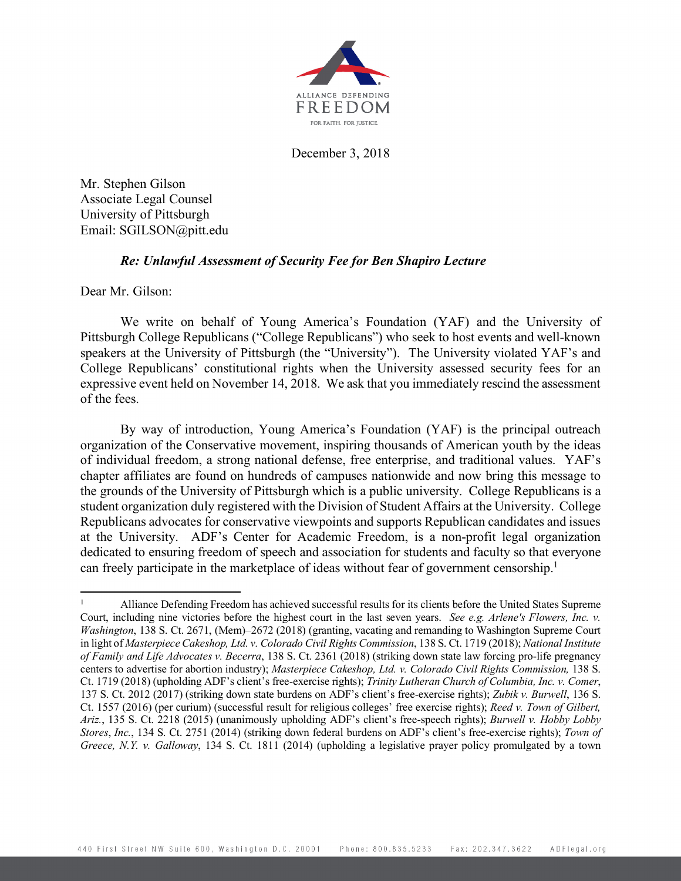

December 3, 2018

Mr. Stephen Gilson Associate Legal Counsel University of Pittsburgh Email: SGILSON@pitt.edu

## *Re: Unlawful Assessment of Security Fee for Ben Shapiro Lecture*

Dear Mr. Gilson:

We write on behalf of Young America's Foundation (YAF) and the University of Pittsburgh College Republicans ("College Republicans") who seek to host events and well-known speakers at the University of Pittsburgh (the "University"). The University violated YAF's and College Republicans' constitutional rights when the University assessed security fees for an expressive event held on November 14, 2018. We ask that you immediately rescind the assessment of the fees.

By way of introduction, Young America's Foundation (YAF) is the principal outreach organization of the Conservative movement, inspiring thousands of American youth by the ideas of individual freedom, a strong national defense, free enterprise, and traditional values. YAF's chapter affiliates are found on hundreds of campuses nationwide and now bring this message to the grounds of the University of Pittsburgh which is a public university. College Republicans is a student organization duly registered with the Division of Student Affairs at the University. College Republicans advocates for conservative viewpoints and supports Republican candidates and issues at the University. ADF's Center for Academic Freedom, is a non-profit legal organization dedicated to ensuring freedom of speech and association for students and faculty so that everyone can freely participate in the marketplace of ideas without fear of government censorship.1

 $\overline{a}$ <sup>1</sup> Alliance Defending Freedom has achieved successful results for its clients before the United States Supreme Court, including nine victories before the highest court in the last seven years. *See e.g. Arlene's Flowers, Inc. v. Washington*, 138 S. Ct. 2671, (Mem)–2672 (2018) (granting, vacating and remanding to Washington Supreme Court in light of *Masterpiece Cakeshop, Ltd. v. Colorado Civil Rights Commission*, 138 S. Ct. 1719 (2018); *National Institute of Family and Life Advocates v. Becerra*, 138 S. Ct. 2361 (2018) (striking down state law forcing pro-life pregnancy centers to advertise for abortion industry); *Masterpiece Cakeshop, Ltd. v. Colorado Civil Rights Commission,* 138 S. Ct. 1719 (2018) (upholding ADF's client's free-exercise rights); *Trinity Lutheran Church of Columbia, Inc. v. Comer*, 137 S. Ct. 2012 (2017) (striking down state burdens on ADF's client's free-exercise rights); *Zubik v. Burwell*, 136 S. Ct. 1557 (2016) (per curium) (successful result for religious colleges' free exercise rights); *Reed v. Town of Gilbert, Ariz.*, 135 S. Ct. 2218 (2015) (unanimously upholding ADF's client's free-speech rights); *Burwell v. Hobby Lobby Stores*, *Inc.*, 134 S. Ct. 2751 (2014) (striking down federal burdens on ADF's client's free-exercise rights); *Town of Greece, N.Y. v. Galloway*, 134 S. Ct. 1811 (2014) (upholding a legislative prayer policy promulgated by a town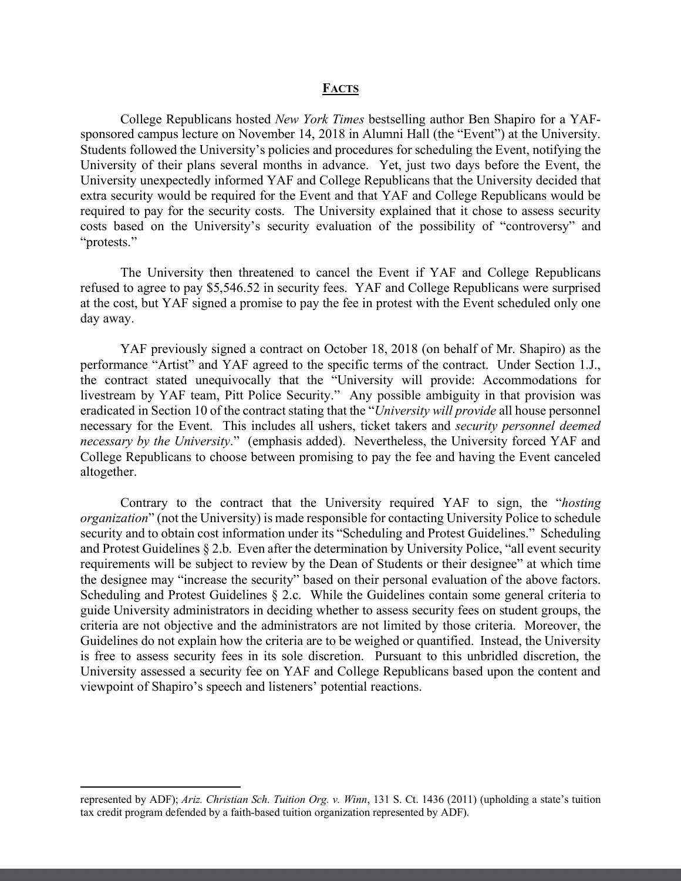#### **FACTS**

College Republicans hosted *New York Times* bestselling author Ben Shapiro for a YAFsponsored campus lecture on November 14, 2018 in Alumni Hall (the "Event") at the University. Students followed the University's policies and procedures for scheduling the Event, notifying the University of their plans several months in advance. Yet, just two days before the Event, the University unexpectedly informed YAF and College Republicans that the University decided that extra security would be required for the Event and that YAF and College Republicans would be required to pay for the security costs. The University explained that it chose to assess security costs based on the University's security evaluation of the possibility of "controversy" and "protests."

The University then threatened to cancel the Event if YAF and College Republicans refused to agree to pay \$5,546.52 in security fees. YAF and College Republicans were surprised at the cost, but YAF signed a promise to pay the fee in protest with the Event scheduled only one day away.

YAF previously signed a contract on October 18, 2018 (on behalf of Mr. Shapiro) as the performance "Artist" and YAF agreed to the specific terms of the contract. Under Section 1.J., the contract stated unequivocally that the "University will provide: Accommodations for livestream by YAF team, Pitt Police Security." Any possible ambiguity in that provision was eradicated in Section 10 of the contract stating that the "*University will provide* all house personnel necessary for the Event. This includes all ushers, ticket takers and *security personnel deemed necessary by the University*." (emphasis added). Nevertheless, the University forced YAF and College Republicans to choose between promising to pay the fee and having the Event canceled altogether.

Contrary to the contract that the University required YAF to sign, the "*hosting organization*" (not the University) is made responsible for contacting University Police to schedule security and to obtain cost information under its "Scheduling and Protest Guidelines." Scheduling and Protest Guidelines § 2.b. Even after the determination by University Police, "all event security requirements will be subject to review by the Dean of Students or their designee" at which time the designee may "increase the security" based on their personal evaluation of the above factors. Scheduling and Protest Guidelines § 2.c. While the Guidelines contain some general criteria to guide University administrators in deciding whether to assess security fees on student groups, the criteria are not objective and the administrators are not limited by those criteria. Moreover, the Guidelines do not explain how the criteria are to be weighed or quantified. Instead, the University is free to assess security fees in its sole discretion. Pursuant to this unbridled discretion, the University assessed a security fee on YAF and College Republicans based upon the content and viewpoint of Shapiro's speech and listeners' potential reactions.

l

represented by ADF); *Ariz. Christian Sch. Tuition Org. v. Winn*, 131 S. Ct. 1436 (2011) (upholding a state's tuition tax credit program defended by a faith-based tuition organization represented by ADF).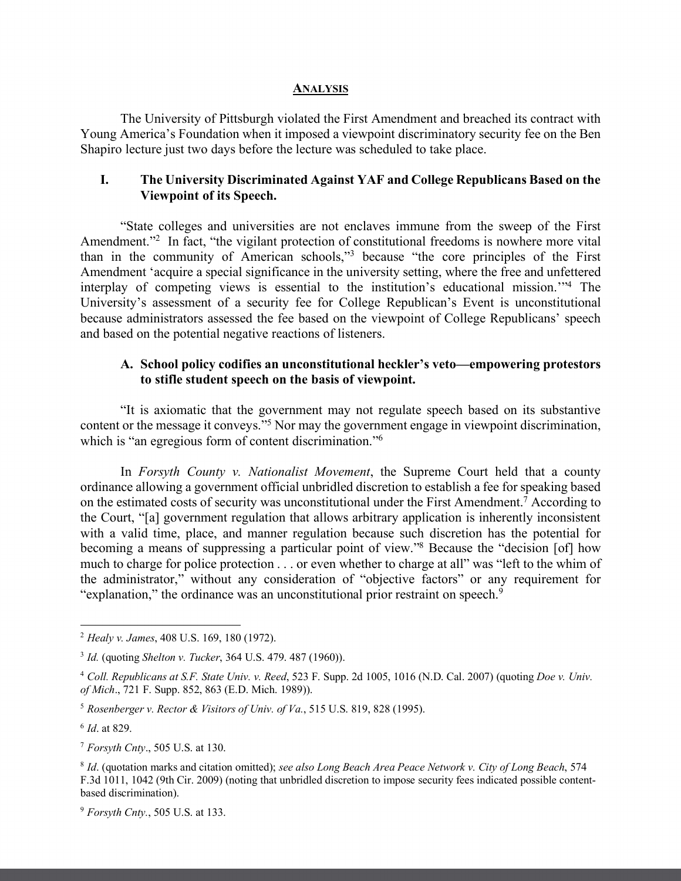#### **ANALYSIS**

The University of Pittsburgh violated the First Amendment and breached its contract with Young America's Foundation when it imposed a viewpoint discriminatory security fee on the Ben Shapiro lecture just two days before the lecture was scheduled to take place.

### **I. The University Discriminated Against YAF and College Republicans Based on the Viewpoint of its Speech.**

"State colleges and universities are not enclaves immune from the sweep of the First Amendment."<sup>2</sup> In fact, "the vigilant protection of constitutional freedoms is nowhere more vital than in the community of American schools,"3 because "the core principles of the First Amendment 'acquire a special significance in the university setting, where the free and unfettered interplay of competing views is essential to the institution's educational mission.'"4 The University's assessment of a security fee for College Republican's Event is unconstitutional because administrators assessed the fee based on the viewpoint of College Republicans' speech and based on the potential negative reactions of listeners.

### **A. School policy codifies an unconstitutional heckler's veto—empowering protestors to stifle student speech on the basis of viewpoint.**

"It is axiomatic that the government may not regulate speech based on its substantive content or the message it conveys."5 Nor may the government engage in viewpoint discrimination, which is "an egregious form of content discrimination."<sup>6</sup>

In *Forsyth County v. Nationalist Movement*, the Supreme Court held that a county ordinance allowing a government official unbridled discretion to establish a fee for speaking based on the estimated costs of security was unconstitutional under the First Amendment.7 According to the Court, "[a] government regulation that allows arbitrary application is inherently inconsistent with a valid time, place, and manner regulation because such discretion has the potential for becoming a means of suppressing a particular point of view."8 Because the "decision [of] how much to charge for police protection . . . or even whether to charge at all" was "left to the whim of the administrator," without any consideration of "objective factors" or any requirement for "explanation," the ordinance was an unconstitutional prior restraint on speech.9

l

<sup>7</sup> *Forsyth Cnty*., 505 U.S. at 130.

<sup>9</sup> *Forsyth Cnty.*, 505 U.S. at 133.

<sup>2</sup> *Healy v. James*, 408 U.S. 169, 180 (1972).

<sup>3</sup> *Id.* (quoting *Shelton v. Tucker*, 364 U.S. 479. 487 (1960)).

<sup>4</sup> *Coll. Republicans at S.F. State Univ. v. Reed*, 523 F. Supp. 2d 1005, 1016 (N.D. Cal. 2007) (quoting *Doe v. Univ. of Mich*., 721 F. Supp. 852, 863 (E.D. Mich. 1989)).

<sup>5</sup> *Rosenberger v. Rector & Visitors of Univ. of Va.*, 515 U.S. 819, 828 (1995).

<sup>6</sup> *Id*. at 829.

<sup>8</sup> *Id*. (quotation marks and citation omitted); *see also Long Beach Area Peace Network v. City of Long Beach*, 574 F.3d 1011, 1042 (9th Cir. 2009) (noting that unbridled discretion to impose security fees indicated possible contentbased discrimination).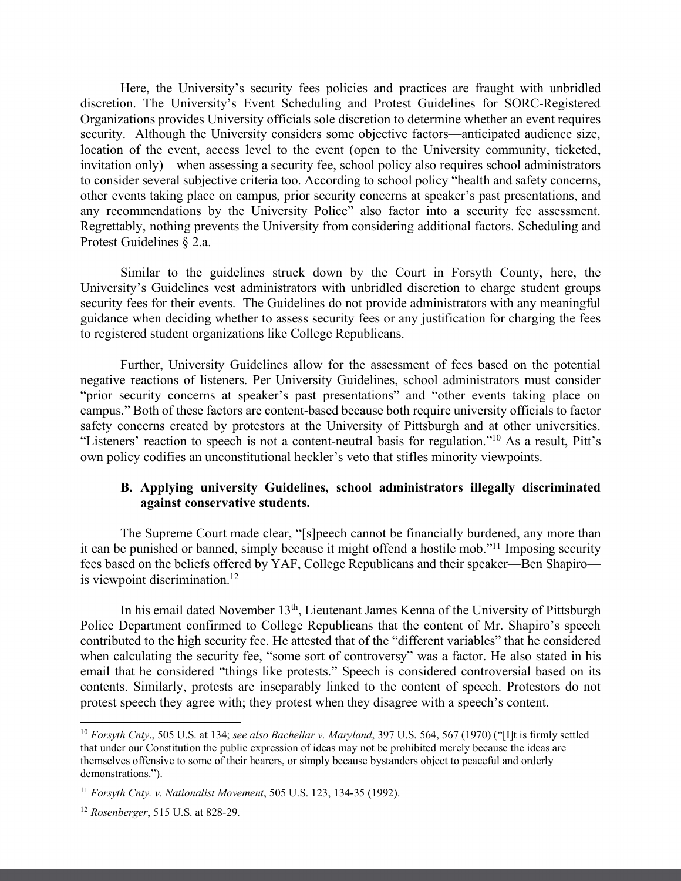Here, the University's security fees policies and practices are fraught with unbridled discretion. The University's Event Scheduling and Protest Guidelines for SORC-Registered Organizations provides University officials sole discretion to determine whether an event requires security. Although the University considers some objective factors—anticipated audience size, location of the event, access level to the event (open to the University community, ticketed, invitation only)—when assessing a security fee, school policy also requires school administrators to consider several subjective criteria too. According to school policy "health and safety concerns, other events taking place on campus, prior security concerns at speaker's past presentations, and any recommendations by the University Police" also factor into a security fee assessment. Regrettably, nothing prevents the University from considering additional factors. Scheduling and Protest Guidelines § 2.a.

Similar to the guidelines struck down by the Court in Forsyth County, here, the University's Guidelines vest administrators with unbridled discretion to charge student groups security fees for their events. The Guidelines do not provide administrators with any meaningful guidance when deciding whether to assess security fees or any justification for charging the fees to registered student organizations like College Republicans.

Further, University Guidelines allow for the assessment of fees based on the potential negative reactions of listeners. Per University Guidelines, school administrators must consider "prior security concerns at speaker's past presentations" and "other events taking place on campus." Both of these factors are content-based because both require university officials to factor safety concerns created by protestors at the University of Pittsburgh and at other universities. "Listeners' reaction to speech is not a content-neutral basis for regulation."10 As a result, Pitt's own policy codifies an unconstitutional heckler's veto that stifles minority viewpoints.

# **B. Applying university Guidelines, school administrators illegally discriminated against conservative students.**

The Supreme Court made clear, "[s]peech cannot be financially burdened, any more than it can be punished or banned, simply because it might offend a hostile mob."11 Imposing security fees based on the beliefs offered by YAF, College Republicans and their speaker—Ben Shapiro is viewpoint discrimination.<sup>12</sup>

In his email dated November 13th, Lieutenant James Kenna of the University of Pittsburgh Police Department confirmed to College Republicans that the content of Mr. Shapiro's speech contributed to the high security fee. He attested that of the "different variables" that he considered when calculating the security fee, "some sort of controversy" was a factor. He also stated in his email that he considered "things like protests." Speech is considered controversial based on its contents. Similarly, protests are inseparably linked to the content of speech. Protestors do not protest speech they agree with; they protest when they disagree with a speech's content.

 $\overline{a}$ 

<sup>10</sup> *Forsyth Cnty*., 505 U.S. at 134; *see also Bachellar v. Maryland*, 397 U.S. 564, 567 (1970) ("[I]t is firmly settled that under our Constitution the public expression of ideas may not be prohibited merely because the ideas are themselves offensive to some of their hearers, or simply because bystanders object to peaceful and orderly demonstrations.").

<sup>11</sup> *Forsyth Cnty. v. Nationalist Movement*, 505 U.S. 123, 134-35 (1992).

<sup>12</sup> *Rosenberger*, 515 U.S. at 828-29.